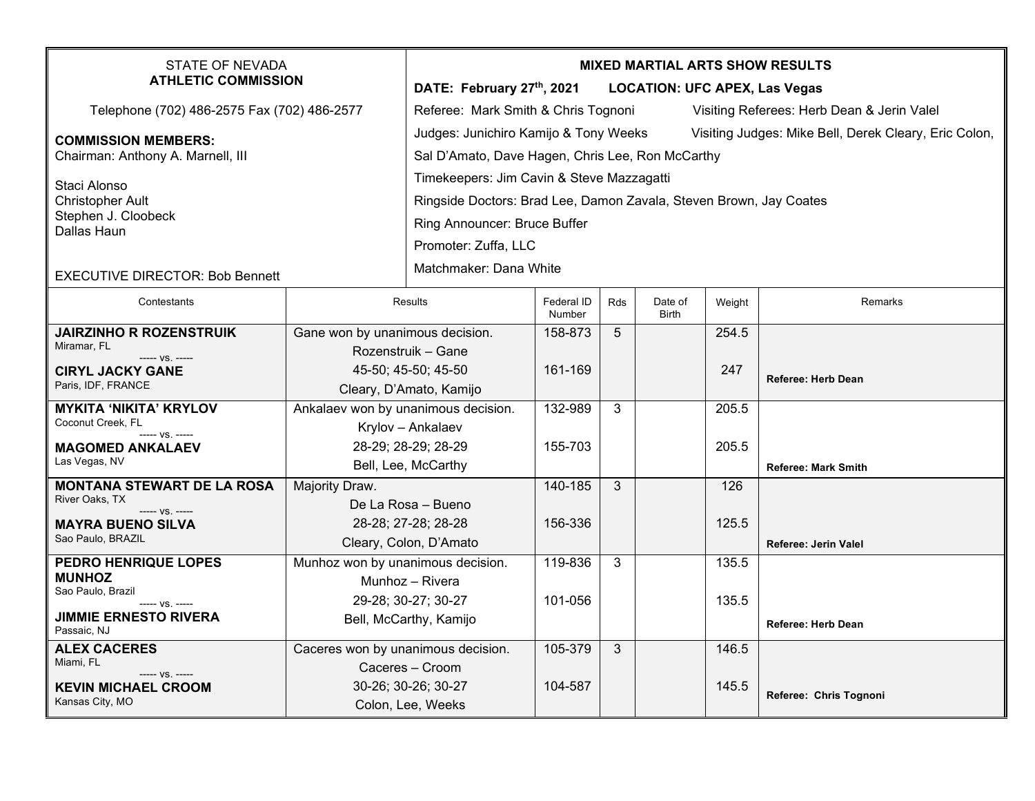| STATE OF NEVADA<br><b>ATHLETIC COMMISSION</b>                         |                                     | <b>MIXED MARTIAL ARTS SHOW RESULTS</b>                                                         |                      |            |                         |                                            |                            |  |
|-----------------------------------------------------------------------|-------------------------------------|------------------------------------------------------------------------------------------------|----------------------|------------|-------------------------|--------------------------------------------|----------------------------|--|
|                                                                       |                                     | DATE: February 27th, 2021<br><b>LOCATION: UFC APEX, Las Vegas</b>                              |                      |            |                         |                                            |                            |  |
| Telephone (702) 486-2575 Fax (702) 486-2577                           |                                     | Referee: Mark Smith & Chris Tognoni                                                            |                      |            |                         | Visiting Referees: Herb Dean & Jerin Valel |                            |  |
| <b>COMMISSION MEMBERS:</b><br>Chairman: Anthony A. Marnell, III       |                                     | Judges: Junichiro Kamijo & Tony Weeks<br>Visiting Judges: Mike Bell, Derek Cleary, Eric Colon, |                      |            |                         |                                            |                            |  |
|                                                                       |                                     | Sal D'Amato, Dave Hagen, Chris Lee, Ron McCarthy                                               |                      |            |                         |                                            |                            |  |
| Staci Alonso                                                          |                                     | Timekeepers: Jim Cavin & Steve Mazzagatti                                                      |                      |            |                         |                                            |                            |  |
| <b>Christopher Ault</b><br>Stephen J. Cloobeck                        |                                     | Ringside Doctors: Brad Lee, Damon Zavala, Steven Brown, Jay Coates                             |                      |            |                         |                                            |                            |  |
| Dallas Haun                                                           |                                     | Ring Announcer: Bruce Buffer                                                                   |                      |            |                         |                                            |                            |  |
|                                                                       |                                     | Promoter: Zuffa, LLC                                                                           |                      |            |                         |                                            |                            |  |
| <b>EXECUTIVE DIRECTOR: Bob Bennett</b>                                |                                     | Matchmaker: Dana White                                                                         |                      |            |                         |                                            |                            |  |
| Contestants                                                           |                                     | Results                                                                                        | Federal ID<br>Number | <b>Rds</b> | Date of<br><b>Birth</b> | Weight                                     | Remarks                    |  |
| <b>JAIRZINHO R ROZENSTRUIK</b>                                        | Gane won by unanimous decision.     |                                                                                                | 158-873              | 5          |                         | 254.5                                      |                            |  |
| Miramar, FL<br>----- VS. -----                                        |                                     | Rozenstruik – Gane                                                                             |                      |            |                         |                                            |                            |  |
| <b>CIRYL JACKY GANE</b>                                               |                                     | 45-50; 45-50; 45-50                                                                            | 161-169              |            |                         | 247                                        | Referee: Herb Dean         |  |
| Paris, IDF, FRANCE                                                    | Cleary, D'Amato, Kamijo             |                                                                                                |                      |            |                         |                                            |                            |  |
| <b>MYKITA 'NIKITA' KRYLOV</b><br>Coconut Creek, FL<br>----- VS. ----- | Ankalaev won by unanimous decision. |                                                                                                | 132-989              | 3          |                         | 205.5                                      |                            |  |
|                                                                       | Krylov - Ankalaev                   |                                                                                                |                      |            |                         |                                            |                            |  |
| <b>MAGOMED ANKALAEV</b>                                               | 28-29; 28-29; 28-29                 |                                                                                                | 155-703              |            |                         | 205.5                                      |                            |  |
| Las Vegas, NV                                                         | Bell, Lee, McCarthy                 |                                                                                                |                      |            |                         |                                            | <b>Referee: Mark Smith</b> |  |
| <b>MONTANA STEWART DE LA ROSA</b>                                     | Majority Draw.                      |                                                                                                | 140-185              | 3          |                         | 126                                        |                            |  |
| River Oaks, TX<br>----- VS. -----                                     | De La Rosa - Bueno                  |                                                                                                |                      |            |                         |                                            |                            |  |
| <b>MAYRA BUENO SILVA</b><br>Sao Paulo, BRAZIL                         | 28-28; 27-28; 28-28                 |                                                                                                | 156-336              |            |                         | 125.5                                      |                            |  |
|                                                                       | Cleary, Colon, D'Amato              |                                                                                                |                      |            |                         |                                            | Referee: Jerin Valel       |  |
| <b>PEDRO HENRIQUE LOPES</b>                                           | Munhoz won by unanimous decision.   |                                                                                                | 119-836              | 3          |                         | 135.5                                      |                            |  |
| <b>MUNHOZ</b><br>Sao Paulo, Brazil                                    | Munhoz - Rivera                     |                                                                                                |                      |            |                         |                                            |                            |  |
| ----- VS. -----                                                       | 29-28; 30-27; 30-27                 |                                                                                                | 101-056              |            |                         | 135.5                                      |                            |  |
| <b>JIMMIE ERNESTO RIVERA</b><br>Passaic, NJ                           |                                     | Bell, McCarthy, Kamijo                                                                         |                      |            |                         |                                            | <b>Referee: Herb Dean</b>  |  |
| <b>ALEX CACERES</b>                                                   | Caceres won by unanimous decision.  |                                                                                                | 105-379              | 3          |                         | 146.5                                      |                            |  |
| Miami, FL<br>$--- VS. ---$                                            | Caceres - Croom                     |                                                                                                |                      |            |                         |                                            |                            |  |
| <b>KEVIN MICHAEL CROOM</b>                                            |                                     | 30-26; 30-26; 30-27                                                                            | 104-587              |            |                         | 145.5                                      | Referee: Chris Tognoni     |  |
| Kansas City, MO                                                       |                                     | Colon, Lee, Weeks                                                                              |                      |            |                         |                                            |                            |  |